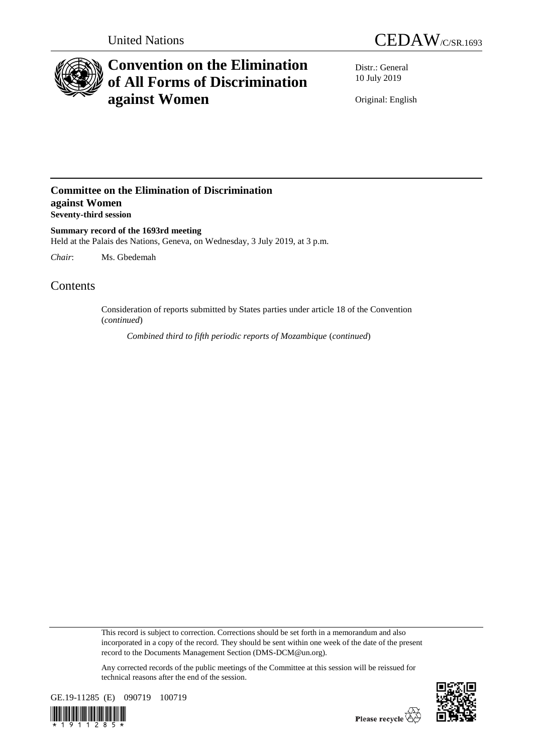



# **Convention on the Elimination of All Forms of Discrimination against Women**

Distr.: General 10 July 2019

Original: English

## **Committee on the Elimination of Discrimination against Women Seventy-third session**

**Summary record of the 1693rd meeting** Held at the Palais des Nations, Geneva, on Wednesday, 3 July 2019, at 3 p.m.

*Chair*: Ms. Gbedemah

## Contents

Consideration of reports submitted by States parties under article 18 of the Convention (*continued*)

*Combined third to fifth periodic reports of Mozambique* (*continued*)

This record is subject to correction. Corrections should be set forth in a memorandum and also incorporated in a copy of the record. They should be sent within one week of the date of the present record to the Documents Management Section (DMS-DCM@un.org).

Any corrected records of the public meetings of the Committee at this session will be reissued for technical reasons after the end of the session.



1 1 2 8 5

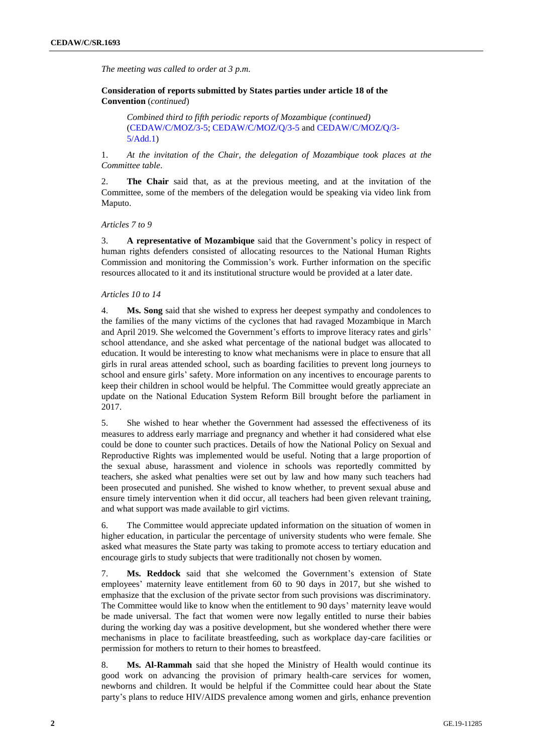*The meeting was called to order at 3 p.m.*

**Consideration of reports submitted by States parties under article 18 of the Convention** (*continued*)

*Combined third to fifth periodic reports of Mozambique (continued)* [\(CEDAW/C/MOZ/3-5;](http://undocs.org/en/CEDAW/C/MOZ/3-5) [CEDAW/C/MOZ/Q/3-5](http://undocs.org/en/CEDAW/C/MOZ/Q/3-5) and [CEDAW/C/MOZ/Q/3-](http://undocs.org/en/CEDAW/C/MOZ/Q/3-5/Add.1) [5/Add.1\)](http://undocs.org/en/CEDAW/C/MOZ/Q/3-5/Add.1)

1. *At the invitation of the Chair, the delegation of Mozambique took places at the Committee table*.

2. **The Chair** said that, as at the previous meeting, and at the invitation of the Committee, some of the members of the delegation would be speaking via video link from Maputo.

*Articles 7 to 9*

3. **A representative of Mozambique** said that the Government's policy in respect of human rights defenders consisted of allocating resources to the National Human Rights Commission and monitoring the Commission's work. Further information on the specific resources allocated to it and its institutional structure would be provided at a later date.

#### *Articles 10 to 14*

4. **Ms. Song** said that she wished to express her deepest sympathy and condolences to the families of the many victims of the cyclones that had ravaged Mozambique in March and April 2019. She welcomed the Government's efforts to improve literacy rates and girls' school attendance, and she asked what percentage of the national budget was allocated to education. It would be interesting to know what mechanisms were in place to ensure that all girls in rural areas attended school, such as boarding facilities to prevent long journeys to school and ensure girls' safety. More information on any incentives to encourage parents to keep their children in school would be helpful. The Committee would greatly appreciate an update on the National Education System Reform Bill brought before the parliament in 2017.

5. She wished to hear whether the Government had assessed the effectiveness of its measures to address early marriage and pregnancy and whether it had considered what else could be done to counter such practices. Details of how the National Policy on Sexual and Reproductive Rights was implemented would be useful. Noting that a large proportion of the sexual abuse, harassment and violence in schools was reportedly committed by teachers, she asked what penalties were set out by law and how many such teachers had been prosecuted and punished. She wished to know whether, to prevent sexual abuse and ensure timely intervention when it did occur, all teachers had been given relevant training, and what support was made available to girl victims.

6. The Committee would appreciate updated information on the situation of women in higher education, in particular the percentage of university students who were female. She asked what measures the State party was taking to promote access to tertiary education and encourage girls to study subjects that were traditionally not chosen by women.

7. **Ms. Reddock** said that she welcomed the Government's extension of State employees' maternity leave entitlement from 60 to 90 days in 2017, but she wished to emphasize that the exclusion of the private sector from such provisions was discriminatory. The Committee would like to know when the entitlement to 90 days' maternity leave would be made universal. The fact that women were now legally entitled to nurse their babies during the working day was a positive development, but she wondered whether there were mechanisms in place to facilitate breastfeeding, such as workplace day-care facilities or permission for mothers to return to their homes to breastfeed.

8. **Ms. Al-Rammah** said that she hoped the Ministry of Health would continue its good work on advancing the provision of primary health-care services for women, newborns and children. It would be helpful if the Committee could hear about the State party's plans to reduce HIV/AIDS prevalence among women and girls, enhance prevention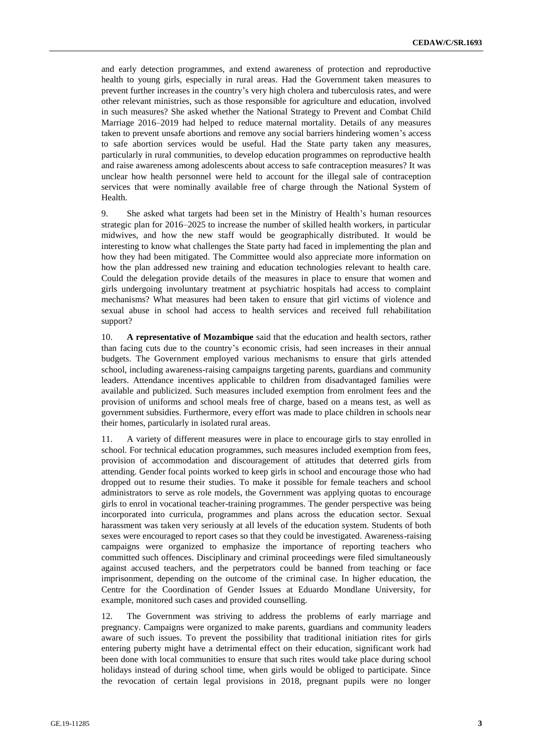and early detection programmes, and extend awareness of protection and reproductive health to young girls, especially in rural areas. Had the Government taken measures to prevent further increases in the country's very high cholera and tuberculosis rates, and were other relevant ministries, such as those responsible for agriculture and education, involved in such measures? She asked whether the National Strategy to Prevent and Combat Child Marriage 2016–2019 had helped to reduce maternal mortality. Details of any measures taken to prevent unsafe abortions and remove any social barriers hindering women's access to safe abortion services would be useful. Had the State party taken any measures, particularly in rural communities, to develop education programmes on reproductive health and raise awareness among adolescents about access to safe contraception measures? It was unclear how health personnel were held to account for the illegal sale of contraception services that were nominally available free of charge through the National System of Health.

9. She asked what targets had been set in the Ministry of Health's human resources strategic plan for 2016–2025 to increase the number of skilled health workers, in particular midwives, and how the new staff would be geographically distributed. It would be interesting to know what challenges the State party had faced in implementing the plan and how they had been mitigated. The Committee would also appreciate more information on how the plan addressed new training and education technologies relevant to health care. Could the delegation provide details of the measures in place to ensure that women and girls undergoing involuntary treatment at psychiatric hospitals had access to complaint mechanisms? What measures had been taken to ensure that girl victims of violence and sexual abuse in school had access to health services and received full rehabilitation support?

10. **A representative of Mozambique** said that the education and health sectors, rather than facing cuts due to the country's economic crisis, had seen increases in their annual budgets. The Government employed various mechanisms to ensure that girls attended school, including awareness-raising campaigns targeting parents, guardians and community leaders. Attendance incentives applicable to children from disadvantaged families were available and publicized. Such measures included exemption from enrolment fees and the provision of uniforms and school meals free of charge, based on a means test, as well as government subsidies. Furthermore, every effort was made to place children in schools near their homes, particularly in isolated rural areas.

11. A variety of different measures were in place to encourage girls to stay enrolled in school. For technical education programmes, such measures included exemption from fees, provision of accommodation and discouragement of attitudes that deterred girls from attending. Gender focal points worked to keep girls in school and encourage those who had dropped out to resume their studies. To make it possible for female teachers and school administrators to serve as role models, the Government was applying quotas to encourage girls to enrol in vocational teacher-training programmes. The gender perspective was being incorporated into curricula, programmes and plans across the education sector. Sexual harassment was taken very seriously at all levels of the education system. Students of both sexes were encouraged to report cases so that they could be investigated. Awareness-raising campaigns were organized to emphasize the importance of reporting teachers who committed such offences. Disciplinary and criminal proceedings were filed simultaneously against accused teachers, and the perpetrators could be banned from teaching or face imprisonment, depending on the outcome of the criminal case. In higher education, the Centre for the Coordination of Gender Issues at Eduardo Mondlane University, for example, monitored such cases and provided counselling.

12. The Government was striving to address the problems of early marriage and pregnancy. Campaigns were organized to make parents, guardians and community leaders aware of such issues. To prevent the possibility that traditional initiation rites for girls entering puberty might have a detrimental effect on their education, significant work had been done with local communities to ensure that such rites would take place during school holidays instead of during school time, when girls would be obliged to participate. Since the revocation of certain legal provisions in 2018, pregnant pupils were no longer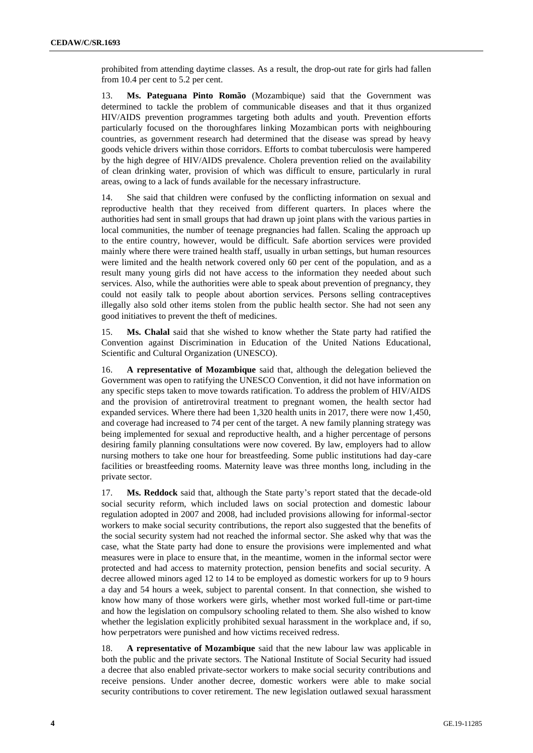prohibited from attending daytime classes. As a result, the drop-out rate for girls had fallen from 10.4 per cent to 5.2 per cent.

13. **Ms. Pateguana Pinto Romão** (Mozambique) said that the Government was determined to tackle the problem of communicable diseases and that it thus organized HIV/AIDS prevention programmes targeting both adults and youth. Prevention efforts particularly focused on the thoroughfares linking Mozambican ports with neighbouring countries, as government research had determined that the disease was spread by heavy goods vehicle drivers within those corridors. Efforts to combat tuberculosis were hampered by the high degree of HIV/AIDS prevalence. Cholera prevention relied on the availability of clean drinking water, provision of which was difficult to ensure, particularly in rural areas, owing to a lack of funds available for the necessary infrastructure.

14. She said that children were confused by the conflicting information on sexual and reproductive health that they received from different quarters. In places where the authorities had sent in small groups that had drawn up joint plans with the various parties in local communities, the number of teenage pregnancies had fallen. Scaling the approach up to the entire country, however, would be difficult. Safe abortion services were provided mainly where there were trained health staff, usually in urban settings, but human resources were limited and the health network covered only 60 per cent of the population, and as a result many young girls did not have access to the information they needed about such services. Also, while the authorities were able to speak about prevention of pregnancy, they could not easily talk to people about abortion services. Persons selling contraceptives illegally also sold other items stolen from the public health sector. She had not seen any good initiatives to prevent the theft of medicines.

15. **Ms. Chalal** said that she wished to know whether the State party had ratified the Convention against Discrimination in Education of the United Nations Educational, Scientific and Cultural Organization (UNESCO).

16. **A representative of Mozambique** said that, although the delegation believed the Government was open to ratifying the UNESCO Convention, it did not have information on any specific steps taken to move towards ratification. To address the problem of HIV/AIDS and the provision of antiretroviral treatment to pregnant women, the health sector had expanded services. Where there had been 1,320 health units in 2017, there were now 1,450, and coverage had increased to 74 per cent of the target. A new family planning strategy was being implemented for sexual and reproductive health, and a higher percentage of persons desiring family planning consultations were now covered. By law, employers had to allow nursing mothers to take one hour for breastfeeding. Some public institutions had day-care facilities or breastfeeding rooms. Maternity leave was three months long, including in the private sector.

17. **Ms. Reddock** said that, although the State party's report stated that the decade-old social security reform, which included laws on social protection and domestic labour regulation adopted in 2007 and 2008, had included provisions allowing for informal-sector workers to make social security contributions, the report also suggested that the benefits of the social security system had not reached the informal sector. She asked why that was the case, what the State party had done to ensure the provisions were implemented and what measures were in place to ensure that, in the meantime, women in the informal sector were protected and had access to maternity protection, pension benefits and social security. A decree allowed minors aged 12 to 14 to be employed as domestic workers for up to 9 hours a day and 54 hours a week, subject to parental consent. In that connection, she wished to know how many of those workers were girls, whether most worked full-time or part-time and how the legislation on compulsory schooling related to them. She also wished to know whether the legislation explicitly prohibited sexual harassment in the workplace and, if so, how perpetrators were punished and how victims received redress.

18. **A representative of Mozambique** said that the new labour law was applicable in both the public and the private sectors. The National Institute of Social Security had issued a decree that also enabled private-sector workers to make social security contributions and receive pensions. Under another decree, domestic workers were able to make social security contributions to cover retirement. The new legislation outlawed sexual harassment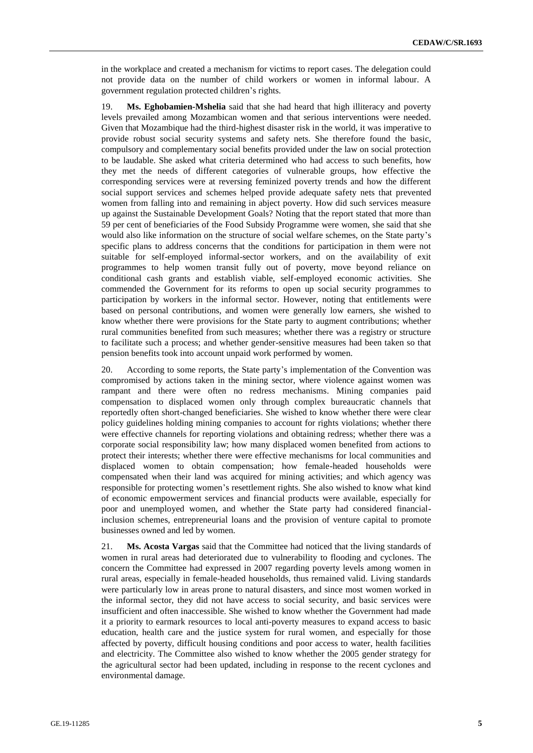in the workplace and created a mechanism for victims to report cases. The delegation could not provide data on the number of child workers or women in informal labour. A government regulation protected children's rights.

19. **Ms. Eghobamien-Mshelia** said that she had heard that high illiteracy and poverty levels prevailed among Mozambican women and that serious interventions were needed. Given that Mozambique had the third-highest disaster risk in the world, it was imperative to provide robust social security systems and safety nets. She therefore found the basic, compulsory and complementary social benefits provided under the law on social protection to be laudable. She asked what criteria determined who had access to such benefits, how they met the needs of different categories of vulnerable groups, how effective the corresponding services were at reversing feminized poverty trends and how the different social support services and schemes helped provide adequate safety nets that prevented women from falling into and remaining in abject poverty. How did such services measure up against the Sustainable Development Goals? Noting that the report stated that more than 59 per cent of beneficiaries of the Food Subsidy Programme were women, she said that she would also like information on the structure of social welfare schemes, on the State party's specific plans to address concerns that the conditions for participation in them were not suitable for self-employed informal-sector workers, and on the availability of exit programmes to help women transit fully out of poverty, move beyond reliance on conditional cash grants and establish viable, self-employed economic activities. She commended the Government for its reforms to open up social security programmes to participation by workers in the informal sector. However, noting that entitlements were based on personal contributions, and women were generally low earners, she wished to know whether there were provisions for the State party to augment contributions; whether rural communities benefited from such measures; whether there was a registry or structure to facilitate such a process; and whether gender-sensitive measures had been taken so that pension benefits took into account unpaid work performed by women.

20. According to some reports, the State party's implementation of the Convention was compromised by actions taken in the mining sector, where violence against women was rampant and there were often no redress mechanisms. Mining companies paid compensation to displaced women only through complex bureaucratic channels that reportedly often short-changed beneficiaries. She wished to know whether there were clear policy guidelines holding mining companies to account for rights violations; whether there were effective channels for reporting violations and obtaining redress; whether there was a corporate social responsibility law; how many displaced women benefited from actions to protect their interests; whether there were effective mechanisms for local communities and displaced women to obtain compensation; how female-headed households were compensated when their land was acquired for mining activities; and which agency was responsible for protecting women's resettlement rights. She also wished to know what kind of economic empowerment services and financial products were available, especially for poor and unemployed women, and whether the State party had considered financialinclusion schemes, entrepreneurial loans and the provision of venture capital to promote businesses owned and led by women.

21. **Ms. Acosta Vargas** said that the Committee had noticed that the living standards of women in rural areas had deteriorated due to vulnerability to flooding and cyclones. The concern the Committee had expressed in 2007 regarding poverty levels among women in rural areas, especially in female-headed households, thus remained valid. Living standards were particularly low in areas prone to natural disasters, and since most women worked in the informal sector, they did not have access to social security, and basic services were insufficient and often inaccessible. She wished to know whether the Government had made it a priority to earmark resources to local anti-poverty measures to expand access to basic education, health care and the justice system for rural women, and especially for those affected by poverty, difficult housing conditions and poor access to water, health facilities and electricity. The Committee also wished to know whether the 2005 gender strategy for the agricultural sector had been updated, including in response to the recent cyclones and environmental damage.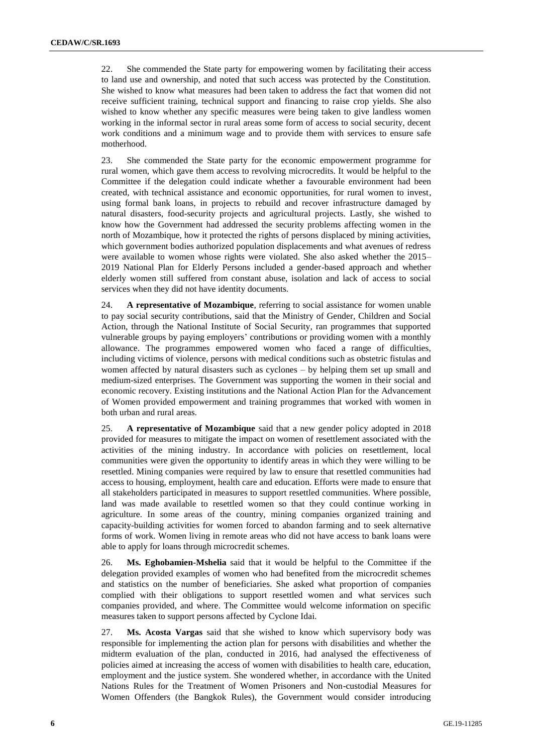22. She commended the State party for empowering women by facilitating their access to land use and ownership, and noted that such access was protected by the Constitution. She wished to know what measures had been taken to address the fact that women did not receive sufficient training, technical support and financing to raise crop yields. She also wished to know whether any specific measures were being taken to give landless women working in the informal sector in rural areas some form of access to social security, decent work conditions and a minimum wage and to provide them with services to ensure safe motherhood.

23. She commended the State party for the economic empowerment programme for rural women, which gave them access to revolving microcredits. It would be helpful to the Committee if the delegation could indicate whether a favourable environment had been created, with technical assistance and economic opportunities, for rural women to invest, using formal bank loans, in projects to rebuild and recover infrastructure damaged by natural disasters, food-security projects and agricultural projects. Lastly, she wished to know how the Government had addressed the security problems affecting women in the north of Mozambique, how it protected the rights of persons displaced by mining activities, which government bodies authorized population displacements and what avenues of redress were available to women whose rights were violated. She also asked whether the 2015– 2019 National Plan for Elderly Persons included a gender-based approach and whether elderly women still suffered from constant abuse, isolation and lack of access to social services when they did not have identity documents.

24. **A representative of Mozambique**, referring to social assistance for women unable to pay social security contributions, said that the Ministry of Gender, Children and Social Action, through the National Institute of Social Security, ran programmes that supported vulnerable groups by paying employers' contributions or providing women with a monthly allowance. The programmes empowered women who faced a range of difficulties, including victims of violence, persons with medical conditions such as obstetric fistulas and women affected by natural disasters such as cyclones – by helping them set up small and medium-sized enterprises. The Government was supporting the women in their social and economic recovery. Existing institutions and the National Action Plan for the Advancement of Women provided empowerment and training programmes that worked with women in both urban and rural areas.

25. **A representative of Mozambique** said that a new gender policy adopted in 2018 provided for measures to mitigate the impact on women of resettlement associated with the activities of the mining industry. In accordance with policies on resettlement, local communities were given the opportunity to identify areas in which they were willing to be resettled. Mining companies were required by law to ensure that resettled communities had access to housing, employment, health care and education. Efforts were made to ensure that all stakeholders participated in measures to support resettled communities. Where possible, land was made available to resettled women so that they could continue working in agriculture. In some areas of the country, mining companies organized training and capacity-building activities for women forced to abandon farming and to seek alternative forms of work. Women living in remote areas who did not have access to bank loans were able to apply for loans through microcredit schemes.

26. **Ms. Eghobamien-Mshelia** said that it would be helpful to the Committee if the delegation provided examples of women who had benefited from the microcredit schemes and statistics on the number of beneficiaries. She asked what proportion of companies complied with their obligations to support resettled women and what services such companies provided, and where. The Committee would welcome information on specific measures taken to support persons affected by Cyclone Idai.

27. **Ms. Acosta Vargas** said that she wished to know which supervisory body was responsible for implementing the action plan for persons with disabilities and whether the midterm evaluation of the plan, conducted in 2016, had analysed the effectiveness of policies aimed at increasing the access of women with disabilities to health care, education, employment and the justice system. She wondered whether, in accordance with the United Nations Rules for the Treatment of Women Prisoners and Non-custodial Measures for Women Offenders (the Bangkok Rules), the Government would consider introducing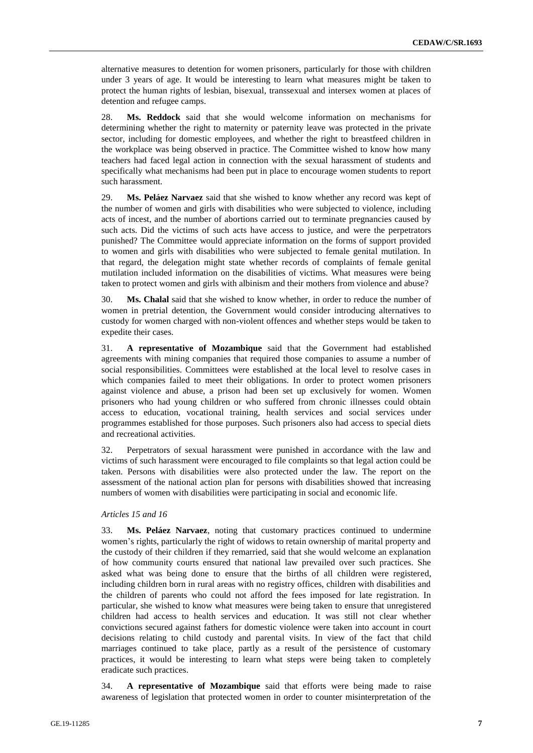alternative measures to detention for women prisoners, particularly for those with children under 3 years of age. It would be interesting to learn what measures might be taken to protect the human rights of lesbian, bisexual, transsexual and intersex women at places of detention and refugee camps.

28. **Ms. Reddock** said that she would welcome information on mechanisms for determining whether the right to maternity or paternity leave was protected in the private sector, including for domestic employees, and whether the right to breastfeed children in the workplace was being observed in practice. The Committee wished to know how many teachers had faced legal action in connection with the sexual harassment of students and specifically what mechanisms had been put in place to encourage women students to report such harassment.

29. **Ms. Peláez Narvaez** said that she wished to know whether any record was kept of the number of women and girls with disabilities who were subjected to violence, including acts of incest, and the number of abortions carried out to terminate pregnancies caused by such acts. Did the victims of such acts have access to justice, and were the perpetrators punished? The Committee would appreciate information on the forms of support provided to women and girls with disabilities who were subjected to female genital mutilation. In that regard, the delegation might state whether records of complaints of female genital mutilation included information on the disabilities of victims. What measures were being taken to protect women and girls with albinism and their mothers from violence and abuse?

30. **Ms. Chalal** said that she wished to know whether, in order to reduce the number of women in pretrial detention, the Government would consider introducing alternatives to custody for women charged with non-violent offences and whether steps would be taken to expedite their cases.

31. **A representative of Mozambique** said that the Government had established agreements with mining companies that required those companies to assume a number of social responsibilities. Committees were established at the local level to resolve cases in which companies failed to meet their obligations. In order to protect women prisoners against violence and abuse, a prison had been set up exclusively for women. Women prisoners who had young children or who suffered from chronic illnesses could obtain access to education, vocational training, health services and social services under programmes established for those purposes. Such prisoners also had access to special diets and recreational activities.

32. Perpetrators of sexual harassment were punished in accordance with the law and victims of such harassment were encouraged to file complaints so that legal action could be taken. Persons with disabilities were also protected under the law. The report on the assessment of the national action plan for persons with disabilities showed that increasing numbers of women with disabilities were participating in social and economic life.

### *Articles 15 and 16*

33. **Ms. Peláez Narvaez**, noting that customary practices continued to undermine women's rights, particularly the right of widows to retain ownership of marital property and the custody of their children if they remarried, said that she would welcome an explanation of how community courts ensured that national law prevailed over such practices. She asked what was being done to ensure that the births of all children were registered, including children born in rural areas with no registry offices, children with disabilities and the children of parents who could not afford the fees imposed for late registration. In particular, she wished to know what measures were being taken to ensure that unregistered children had access to health services and education. It was still not clear whether convictions secured against fathers for domestic violence were taken into account in court decisions relating to child custody and parental visits. In view of the fact that child marriages continued to take place, partly as a result of the persistence of customary practices, it would be interesting to learn what steps were being taken to completely eradicate such practices.

34. **A representative of Mozambique** said that efforts were being made to raise awareness of legislation that protected women in order to counter misinterpretation of the